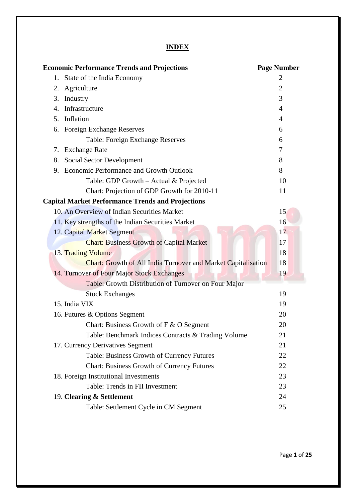# **INDEX**

| <b>Economic Performance Trends and Projections</b>                   | <b>Page Number</b> |
|----------------------------------------------------------------------|--------------------|
| State of the India Economy<br>1.                                     | 2                  |
| Agriculture<br>2.                                                    | 2                  |
| 3.<br>Industry                                                       | 3                  |
| Infrastructure<br>4.                                                 | 4                  |
| Inflation<br>5.                                                      | 4                  |
| <b>Foreign Exchange Reserves</b><br>6.                               | 6                  |
| Table: Foreign Exchange Reserves                                     | 6                  |
| <b>Exchange Rate</b><br>7.                                           | 7                  |
| Social Sector Development<br>8.                                      | 8                  |
| 9. Economic Performance and Growth Outlook                           | 8                  |
| Table: GDP Growth – Actual & Projected                               | 10                 |
| Chart: Projection of GDP Growth for 2010-11                          | 11                 |
| <b>Capital Market Performance Trends and Projections</b>             |                    |
| 10. An Overview of Indian Securities Market                          | 15                 |
| 11. Key strengths of the Indian Securities Market                    | 16                 |
| 12. Capital Market Segment                                           | 17                 |
| <b>Chart: Business Growth of Capital Market</b>                      | 17                 |
| 13. Trading Volume                                                   | 18                 |
| <b>Chart: Growth of All India Turnover and Market Capitalisation</b> | 18                 |
| 14. Turnover of Four Major Stock Exchanges                           | 19                 |
| Table: Growth Distribution of Turnover on Four Major                 |                    |
| <b>Stock Exchanges</b>                                               | 19                 |
| 15. India VIX                                                        | 19                 |
| 16. Futures & Options Segment                                        | 20                 |
| Chart: Business Growth of F & O Segment                              | 20                 |
| Table: Benchmark Indices Contracts & Trading Volume                  | 21                 |
| 17. Currency Derivatives Segment                                     | 21                 |
| Table: Business Growth of Currency Futures                           | 22                 |
| <b>Chart: Business Growth of Currency Futures</b>                    | 22                 |
| 18. Foreign Institutional Investments                                | 23                 |
| Table: Trends in FII Investment                                      | 23                 |
| 19. Clearing & Settlement                                            | 24                 |
| Table: Settlement Cycle in CM Segment                                | 25                 |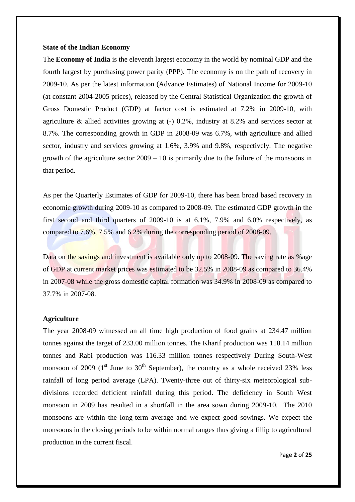#### **State of the Indian Economy**

The **Economy of India** is the [eleventh largest](http://en.wikipedia.org/wiki/List_of_countries_by_GDP_(nominal)) economy in the world by [nominal GDP](http://en.wikipedia.org/wiki/Gross_domestic_product) and the [fourth largest](http://en.wikipedia.org/wiki/List_of_countries_by_GDP_(PPP)) by [purchasing power parity](http://en.wikipedia.org/wiki/List_of_countries_by_GDP_(PPP)) (PPP). The economy is on the path of recovery in 2009-10. As per the latest information (Advance Estimates) of National Income for 2009-10 (at constant 2004-2005 prices), released by the Central Statistical Organization the growth of Gross Domestic Product (GDP) at factor cost is estimated at 7.2% in 2009-10, with agriculture & allied activities growing at (-) 0.2%, industry at 8.2% and services sector at 8.7%. The corresponding growth in GDP in 2008-09 was 6.7%, with agriculture and allied sector, industry and services growing at 1.6%, 3.9% and 9.8%, respectively. The negative growth of the agriculture sector 2009 – 10 is primarily due to the failure of the monsoons in that period.

As per the Quarterly Estimates of GDP for 2009-10, there has been broad based recovery in economic growth during 2009-10 as compared to 2008-09. The estimated GDP growth in the first second and third quarters of 2009-10 is at 6.1%, 7.9% and 6.0% respectively, as compared to 7.6%, 7.5% and 6.2% during the corresponding period of 2008-09.

Data on the savings and investment is available only up to 2008-09. The saving rate as % age of GDP at current market prices was estimated to be 32.5% in 2008-09 as compared to 36.4% in 2007-08 while the gross domestic capital formation was 34.9% in 2008-09 as compared to 37.7% in 2007-08.

### **Agriculture**

The year 2008-09 witnessed an all time high production of food grains at 234.47 million tonnes against the target of 233.00 million tonnes. The Kharif production was 118.14 million tonnes and Rabi production was 116.33 million tonnes respectively During South-West monsoon of 2009 ( $1<sup>st</sup>$  June to  $30<sup>th</sup>$  September), the country as a whole received 23% less rainfall of long period average (LPA). Twenty-three out of thirty-six meteorological subdivisions recorded deficient rainfall during this period. The deficiency in South West monsoon in 2009 has resulted in a shortfall in the area sown during 2009-10. The 2010 monsoons are within the long-term average and we expect good sowings. We expect the monsoons in the closing periods to be within normal ranges thus giving a fillip to agricultural production in the current fiscal.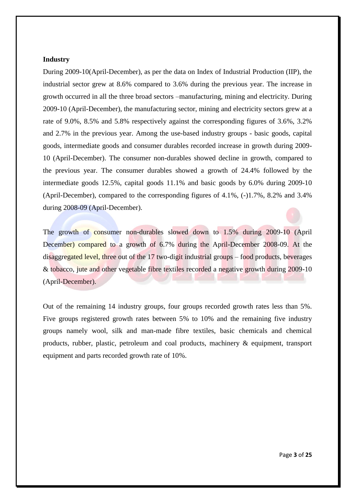#### **Industry**

During 2009-10(April-December), as per the data on Index of Industrial Production (IIP), the industrial sector grew at 8.6% compared to 3.6% during the previous year. The increase in growth occurred in all the three broad sectors –manufacturing, mining and electricity. During 2009-10 (April-December), the manufacturing sector, mining and electricity sectors grew at a rate of 9.0%, 8.5% and 5.8% respectively against the corresponding figures of 3.6%, 3.2% and 2.7% in the previous year. Among the use-based industry groups - basic goods, capital goods, intermediate goods and consumer durables recorded increase in growth during 2009- 10 (April-December). The consumer non-durables showed decline in growth, compared to the previous year. The consumer durables showed a growth of 24.4% followed by the intermediate goods 12.5%, capital goods 11.1% and basic goods by 6.0% during 2009-10 (April-December), compared to the corresponding figures of 4.1%, (-)1.7%, 8.2% and 3.4% during 2008-09 (April-December).

The growth of consumer non-durables slowed down to 1.5% during 2009-10 (April December) compared to a growth of 6.7% during the April-December 2008-09. At the disaggregated level, three out of the 17 two-digit industrial groups – food products, beverages & tobacco, jute and other vegetable fibre textiles recorded a negative growth during 2009-10 (April-December).

Out of the remaining 14 industry groups, four groups recorded growth rates less than 5%. Five groups registered growth rates between 5% to 10% and the remaining five industry groups namely wool, silk and man-made fibre textiles, basic chemicals and chemical products, rubber, plastic, petroleum and coal products, machinery & equipment, transport equipment and parts recorded growth rate of 10%.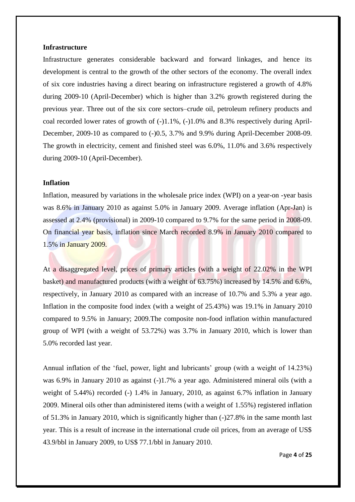#### **Infrastructure**

Infrastructure generates considerable backward and forward linkages, and hence its development is central to the growth of the other sectors of the economy. The overall index of six core industries having a direct bearing on infrastructure registered a growth of 4.8% during 2009-10 (April-December) which is higher than 3.2% growth registered during the previous year. Three out of the six core sectors–crude oil, petroleum refinery products and coal recorded lower rates of growth of (-)1.1%, (-)1.0% and 8.3% respectively during April-December, 2009-10 as compared to  $(-)0.5$ , 3.7% and 9.9% during April-December 2008-09. The growth in electricity, cement and finished steel was 6.0%, 11.0% and 3.6% respectively during 2009-10 (April-December).

#### **Inflation**

Inflation, measured by variations in the wholesale price index (WPI) on a year-on -year basis was 8.6% in January 2010 as against 5.0% in January 2009. Average inflation (Apr-Jan) is assessed at 2.4% (provisional) in 2009-10 compared to 9.7% for the same period in 2008-09. On financial year basis, inflation since March recorded 8.9% in January 2010 compared to 1.5% in January 2009.

At a disaggregated level, prices of primary articles (with a weight of 22.02% in the WPI basket) and manufactured products (with a weight of 63.75%) increased by 14.5% and 6.6%, respectively, in January 2010 as compared with an increase of 10.7% and 5.3% a year ago. Inflation in the composite food index (with a weight of 25.43%) was 19.1% in January 2010 compared to 9.5% in January; 2009.The composite non-food inflation within manufactured group of WPI (with a weight of 53.72%) was 3.7% in January 2010, which is lower than 5.0% recorded last year.

Annual inflation of the 'fuel, power, light and lubricants' group (with a weight of 14.23%) was 6.9% in January 2010 as against (-)1.7% a year ago. Administered mineral oils (with a weight of 5.44%) recorded (-) 1.4% in January, 2010, as against 6.7% inflation in January 2009. Mineral oils other than administered items (with a weight of 1.55%) registered inflation of 51.3% in January 2010, which is significantly higher than (-)27.8% in the same month last year. This is a result of increase in the international crude oil prices, from an average of US\$ 43.9/bbl in January 2009, to US\$ 77.1/bbl in January 2010.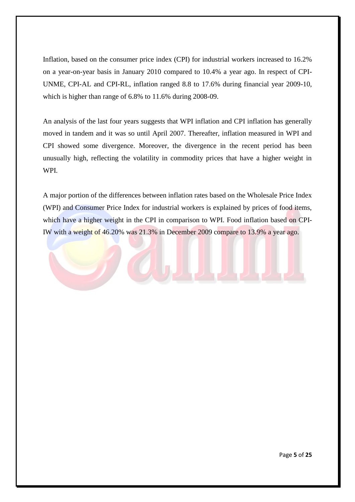Inflation, based on the consumer price index (CPI) for industrial workers increased to 16.2% on a year-on-year basis in January 2010 compared to 10.4% a year ago. In respect of CPI-UNME, CPI-AL and CPI-RL, inflation ranged 8.8 to 17.6% during financial year 2009-10, which is higher than range of 6.8% to 11.6% during 2008-09.

An analysis of the last four years suggests that WPI inflation and CPI inflation has generally moved in tandem and it was so until April 2007. Thereafter, inflation measured in WPI and CPI showed some divergence. Moreover, the divergence in the recent period has been unusually high, reflecting the volatility in commodity prices that have a higher weight in WPI.

A major portion of the differences between inflation rates based on the Wholesale Price Index (WPI) and Consumer Price Index for industrial workers is explained by prices of food items, which have a higher weight in the CPI in comparison to WPI. Food inflation based on CPI-IW with a weight of 46.20% was 21.3% in December 2009 compare to 13.9% a year ago.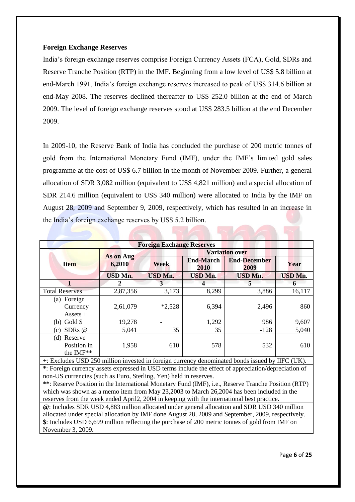### **Foreign Exchange Reserves**

India"s foreign exchange reserves comprise Foreign Currency Assets (FCA), Gold, SDRs and Reserve Tranche Position (RTP) in the IMF. Beginning from a low level of US\$ 5.8 billion at end-March 1991, India"s foreign exchange reserves increased to peak of US\$ 314.6 billion at end-May 2008. The reserves declined thereafter to US\$ 252.0 billion at the end of March 2009. The level of foreign exchange reserves stood at US\$ 283.5 billion at the end December 2009.

In 2009-10, the Reserve Bank of India has concluded the purchase of 200 metric tonnes of gold from the International Monetary Fund (IMF), under the IMF"s limited gold sales programme at the cost of US\$ 6.7 billion in the month of November 2009. Further, a general allocation of SDR 3,082 million (equivalent to US\$ 4,821 million) and a special allocation of SDR 214.6 million (equivalent to US\$ 340 million) were allocated to India by the IMF on August 28, 2009 and September 9, 2009, respectively, which has resulted in an increase in the India"s foreign exchange reserves by US\$ 5.2 billion.

| <b>Foreign Exchange Reserves</b>                                                                                                                                                                                                                                                               |                                           |                       |                          |                             |                |  |  |
|------------------------------------------------------------------------------------------------------------------------------------------------------------------------------------------------------------------------------------------------------------------------------------------------|-------------------------------------------|-----------------------|--------------------------|-----------------------------|----------------|--|--|
|                                                                                                                                                                                                                                                                                                | <b>As on Aug</b><br>6,2010<br><b>Item</b> | <b>Variation over</b> |                          |                             |                |  |  |
|                                                                                                                                                                                                                                                                                                |                                           | <b>Week</b>           | <b>End-March</b><br>2010 | <b>End-December</b><br>2009 | Year           |  |  |
|                                                                                                                                                                                                                                                                                                | <b>USD Mn.</b>                            | <b>USD Mn.</b>        | <b>USD Mn.</b>           | <b>USD Mn.</b>              | <b>USD Mn.</b> |  |  |
| $\mathbf{1}$                                                                                                                                                                                                                                                                                   | 2                                         | 3                     | $\boldsymbol{\Delta}$    | 5                           | 6              |  |  |
| <b>Total Reserves</b>                                                                                                                                                                                                                                                                          | 2,87,356                                  | 3,173                 | 8,299                    | 3,886                       | 16,117         |  |  |
| (a) Foreign<br>Currency<br>$Assets +$                                                                                                                                                                                                                                                          | 2,61,079                                  | $*2,528$              | 6,394                    | 2,496                       | 860            |  |  |
| Gold \$<br>(b)                                                                                                                                                                                                                                                                                 | 19,278                                    |                       | 1,292                    | 986                         | 9,607          |  |  |
| SDR <sub>s</sub> @<br>(c)                                                                                                                                                                                                                                                                      | 5,041                                     | 35                    | 35                       | $-128$                      | 5,040          |  |  |
| (d) Reserve<br>Position in<br>the IMF**                                                                                                                                                                                                                                                        | 1,958                                     | 610                   | 578                      | 532                         | 610            |  |  |
| +: Excludes USD 250 million invested in foreign currency denominated bonds issued by IIFC (UK).                                                                                                                                                                                                |                                           |                       |                          |                             |                |  |  |
| *: Foreign currency assets expressed in USD terms include the effect of appreciation/depreciation of<br>non-US currencies (such as Euro, Sterling, Yen) held in reserves.                                                                                                                      |                                           |                       |                          |                             |                |  |  |
| **: Reserve Position in the International Monetary Fund (IMF), i.e., Reserve Tranche Position (RTP)<br>which was shown as a memo item from May 23,2003 to March 26,2004 has been included in the<br>reserves from the week ended April2, 2004 in keeping with the international best practice. |                                           |                       |                          |                             |                |  |  |
| @: Includes SDR USD 4,883 million allocated under general allocation and SDR USD 340 million<br>allocated under special allocation by IMF done August 28, 2009 and September, 2009, respectively.                                                                                              |                                           |                       |                          |                             |                |  |  |
| \$: Includes USD 6,699 million reflecting the purchase of 200 metric tonnes of gold from IMF on<br>November 3, 2009.                                                                                                                                                                           |                                           |                       |                          |                             |                |  |  |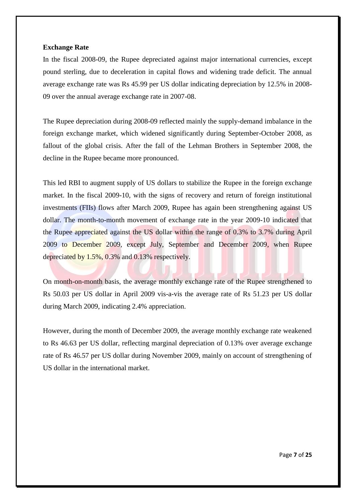### **Exchange Rate**

In the fiscal 2008-09, the Rupee depreciated against major international currencies, except pound sterling, due to deceleration in capital flows and widening trade deficit. The annual average exchange rate was Rs 45.99 per US dollar indicating depreciation by 12.5% in 2008- 09 over the annual average exchange rate in 2007-08.

The Rupee depreciation during 2008-09 reflected mainly the supply-demand imbalance in the foreign exchange market, which widened significantly during September-October 2008, as fallout of the global crisis. After the fall of the Lehman Brothers in September 2008, the decline in the Rupee became more pronounced.

This led RBI to augment supply of US dollars to stabilize the Rupee in the foreign exchange market. In the fiscal 2009-10, with the signs of recovery and return of foreign institutional investments (FIIs) flows after March 2009, Rupee has again been strengthening against US dollar. The month-to-month movement of exchange rate in the year 2009-10 indicated that the Rupee appreciated against the US dollar within the range of 0.3% to 3.7% during April 2009 to December 2009, except July, September and December 2009, when Rupee depreciated by 1.5%, 0.3% and 0.13% respectively.

On month-on-month basis, the average monthly exchange rate of the Rupee strengthened to Rs 50.03 per US dollar in April 2009 vis-a-vis the average rate of Rs 51.23 per US dollar during March 2009, indicating 2.4% appreciation.

However, during the month of December 2009, the average monthly exchange rate weakened to Rs 46.63 per US dollar, reflecting marginal depreciation of 0.13% over average exchange rate of Rs 46.57 per US dollar during November 2009, mainly on account of strengthening of US dollar in the international market.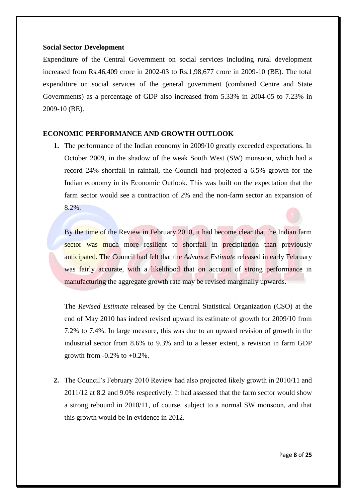#### **Social Sector Development**

Expenditure of the Central Government on social services including rural development increased from Rs.46,409 crore in 2002-03 to Rs.1,98,677 crore in 2009-10 (BE). The total expenditure on social services of the general government (combined Centre and State Governments) as a percentage of GDP also increased from 5.33% in 2004-05 to 7.23% in 2009-10 (BE).

### **ECONOMIC PERFORMANCE AND GROWTH OUTLOOK**

**1.** The performance of the Indian economy in 2009/10 greatly exceeded expectations. In October 2009, in the shadow of the weak South West (SW) monsoon, which had a record 24% shortfall in rainfall, the Council had projected a 6.5% growth for the Indian economy in its Economic Outlook. This was built on the expectation that the farm sector would see a contraction of 2% and the non-farm sector an expansion of  $8.2\%$ .

By the time of the Review in February 2010, it had become clear that the Indian farm sector was much more resilient to shortfall in precipitation than previously anticipated. The Council had felt that the *Advance Estimate* released in early February was fairly accurate, with a likelihood that on account of strong performance in manufacturing the aggregate growth rate may be revised marginally upwards.

The *Revised Estimate* released by the Central Statistical Organization (CSO) at the end of May 2010 has indeed revised upward its estimate of growth for 2009/10 from 7.2% to 7.4%. In large measure, this was due to an upward revision of growth in the industrial sector from 8.6% to 9.3% and to a lesser extent, a revision in farm GDP growth from  $-0.2\%$  to  $+0.2\%$ .

**2.** The Council"s February 2010 Review had also projected likely growth in 2010/11 and 2011/12 at 8.2 and 9.0% respectively. It had assessed that the farm sector would show a strong rebound in 2010/11, of course, subject to a normal SW monsoon, and that this growth would be in evidence in 2012.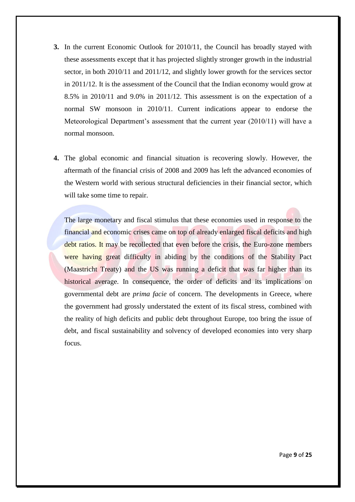- **3.** In the current Economic Outlook for 2010/11, the Council has broadly stayed with these assessments except that it has projected slightly stronger growth in the industrial sector, in both 2010/11 and 2011/12, and slightly lower growth for the services sector in 2011/12. It is the assessment of the Council that the Indian economy would grow at 8.5% in 2010/11 and 9.0% in 2011/12. This assessment is on the expectation of a normal SW monsoon in 2010/11. Current indications appear to endorse the Meteorological Department's assessment that the current year (2010/11) will have a normal monsoon.
- **4.** The global economic and financial situation is recovering slowly. However, the aftermath of the financial crisis of 2008 and 2009 has left the advanced economies of the Western world with serious structural deficiencies in their financial sector, which will take some time to repair.

The large monetary and fiscal stimulus that these economies used in response to the financial and economic crises came on top of already enlarged fiscal deficits and high debt ratios. It may be recollected that even before the crisis, the Euro-zone members were having great difficulty in abiding by the conditions of the Stability Pact (Maastricht Treaty) and the US was running a deficit that was far higher than its historical average. In consequence, the order of deficits and its implications on governmental debt are *prima facie* of concern. The developments in Greece, where the government had grossly understated the extent of its fiscal stress, combined with the reality of high deficits and public debt throughout Europe, too bring the issue of debt, and fiscal sustainability and solvency of developed economies into very sharp focus.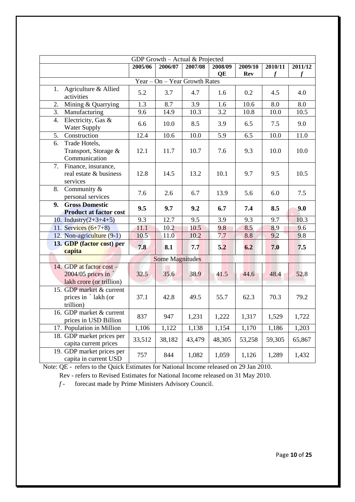| GDP Growth - Actual & Projected                                             |         |                               |         |         |            |         |         |
|-----------------------------------------------------------------------------|---------|-------------------------------|---------|---------|------------|---------|---------|
|                                                                             | 2005/06 | 2006/07                       | 2007/08 | 2008/09 | 2009/10    | 2010/11 | 2011/12 |
|                                                                             |         |                               |         | QE      | <b>Rev</b> | f       |         |
|                                                                             |         | Year - On - Year Growth Rates |         |         |            |         |         |
| Agriculture & Allied<br>1.<br>activities                                    | 5.2     | 3.7                           | 4.7     | 1.6     | 0.2        | 4.5     | 4.0     |
| Mining & Quarrying<br>2.                                                    | 1.3     | 8.7                           | 3.9     | 1.6     | 10.6       | 8.0     | 8.0     |
| Manufacturing<br>3.                                                         | 9.6     | 14.9                          | 10.3    | 3.2     | 10.8       | 10.0    | 10.5    |
| $\overline{4}$ .<br>Electricity, Gas &<br>Water Supply                      | 6.6     | 10.0                          | 8.5     | 3.9     | 6.5        | 7.5     | 9.0     |
| 5.<br>Construction                                                          | 12.4    | 10.6                          | 10.0    | 5.9     | 6.5        | 10.0    | 11.0    |
| Trade Hotels,<br>6.<br>Transport, Storage &<br>Communication                | 12.1    | 11.7                          | 10.7    | 7.6     | 9.3        | 10.0    | 10.0    |
| Finance, insurance,<br>7.<br>real estate & business<br>services             | 12.8    | 14.5                          | 13.2    | 10.1    | 9.7        | 9.5     | 10.5    |
| Community &<br>8.<br>personal services                                      | 7.6     | 2.6                           | 6.7     | 13.9    | 5.6        | 6.0     | 7.5     |
| <b>Gross Domestic</b><br>9.<br><b>Product at factor cost</b>                | 9.5     | 9.7                           | 9.2     | 6.7     | 7.4        | 8.5     | 9.0     |
| 10. Industry $(2+3+4+5)$                                                    | 9.3     | 12.7                          | 9.5     | 3.9     | 9.3        | 9.7     | 10.3    |
| 11. Services $(6+7+8)$                                                      | 11.1    | 10.2                          | 10.5    | 9.8     | 8.5        | 8.9     | 9.6     |
| 12. Non-agriculture (9-1)                                                   | 10.5    | 11.0                          | 10.2    | 7.7     | 8.8        | 9.2     | 9.8     |
| 13. GDP (factor cost) per<br>capita                                         | 7.8     | 8.1                           | 7.7     | 5.2     | 6.2        | 7.0     | 7.5     |
|                                                                             |         | Some Magnitudes               |         |         |            |         |         |
| 14. GDP at factor $cost -$<br>2004/05 prices in<br>lakh crore (or trillion) | 32.5    | 35.6                          | 38.9    | 41.5    | 44.6       | 48.4    | 52.8    |
| 15. GDP market & current<br>prices in `lakh (or<br>trillion)                | 37.1    | 42.8                          | 49.5    | 55.7    | 62.3       | 70.3    | 79.2    |
| 16. GDP market & current<br>prices in USD Billion                           | 837     | 947                           | 1,231   | 1,222   | 1,317      | 1,529   | 1,722   |
| 17. Population in Million                                                   | 1,106   | 1,122                         | 1,138   | 1,154   | 1,170      | 1,186   | 1,203   |
| 18. GDP market prices per<br>capita current prices                          | 33,512  | 38,182                        | 43,479  | 48,305  | 53,258     | 59,305  | 65,867  |
| 19. GDP market prices per<br>capita in current USD                          | 757     | 844                           | 1,082   | 1,059   | 1,126      | 1,289   | 1,432   |

Note: QE - refers to the Quick Estimates for National Income released on 29 Jan 2010.

Rev - refers to Revised Estimates for National Income released on 31 May 2010.

*f -* forecast made by Prime Ministers Advisory Council.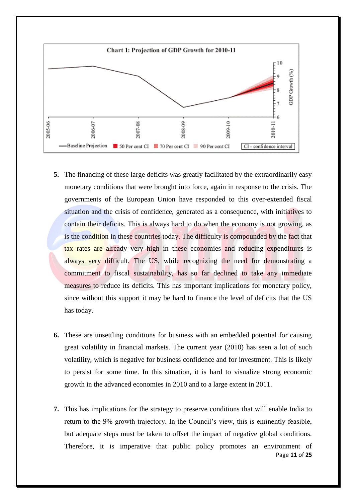

- **5.** The financing of these large deficits was greatly facilitated by the extraordinarily easy monetary conditions that were brought into force, again in response to the crisis. The governments of the European Union have responded to this over-extended fiscal situation and the crisis of confidence, generated as a consequence, with initiatives to contain their deficits. This is always hard to do when the economy is not growing, as is the condition in these countries today. The difficulty is compounded by the fact that tax rates are already very high in these economies and reducing expenditures is always very difficult. The US, while recognizing the need for demonstrating a commitment to fiscal sustainability, has so far declined to take any immediate measures to reduce its deficits. This has important implications for monetary policy, since without this support it may be hard to finance the level of deficits that the US has today.
- **6.** These are unsettling conditions for business with an embedded potential for causing great volatility in financial markets. The current year (2010) has seen a lot of such volatility, which is negative for business confidence and for investment. This is likely to persist for some time. In this situation, it is hard to visualize strong economic growth in the advanced economies in 2010 and to a large extent in 2011.
- Page **11** of **25 7.** This has implications for the strategy to preserve conditions that will enable India to return to the 9% growth trajectory. In the Council"s view, this is eminently feasible, but adequate steps must be taken to offset the impact of negative global conditions. Therefore, it is imperative that public policy promotes an environment of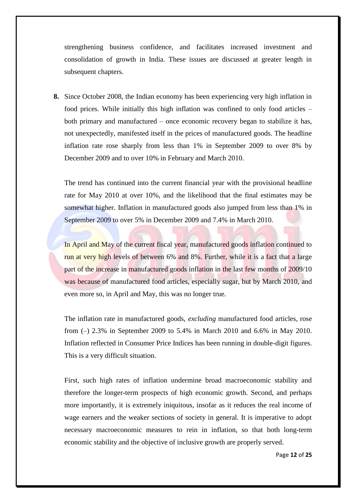strengthening business confidence, and facilitates increased investment and consolidation of growth in India. These issues are discussed at greater length in subsequent chapters.

**8.** Since October 2008, the Indian economy has been experiencing very high inflation in food prices. While initially this high inflation was confined to only food articles – both primary and manufactured – once economic recovery began to stabilize it has, not unexpectedly, manifested itself in the prices of manufactured goods. The headline inflation rate rose sharply from less than 1% in September 2009 to over 8% by December 2009 and to over 10% in February and March 2010.

The trend has continued into the current financial year with the provisional headline rate for May 2010 at over 10%, and the likelihood that the final estimates may be somewhat higher. Inflation in manufactured goods also jumped from less than 1% in September 2009 to over 5% in December 2009 and 7.4% in March 2010.

In April and May of the current fiscal year, manufactured goods inflation continued to run at very high levels of between 6% and 8%. Further, while it is a fact that a large part of the increase in manufactured goods inflation in the last few months of 2009/10 was because of manufactured food articles, especially sugar, but by March 2010, and even more so, in April and May, this was no longer true.

The inflation rate in manufactured goods, *excluding* manufactured food articles, rose from (–) 2.3% in September 2009 to 5.4% in March 2010 and 6.6% in May 2010. Inflation reflected in Consumer Price Indices has been running in double-digit figures. This is a very difficult situation.

First, such high rates of inflation undermine broad macroeconomic stability and therefore the longer-term prospects of high economic growth. Second, and perhaps more importantly, it is extremely iniquitous, insofar as it reduces the real income of wage earners and the weaker sections of society in general. It is imperative to adopt necessary macroeconomic measures to rein in inflation, so that both long-term economic stability and the objective of inclusive growth are properly served.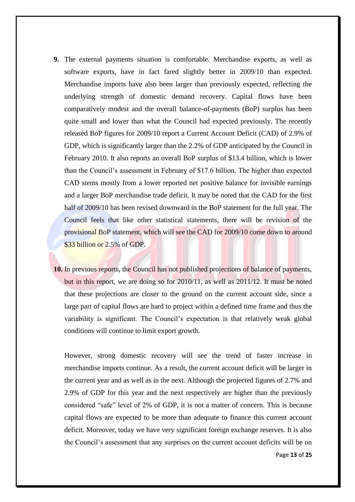- **9.** The external payments situation is comfortable. Merchandise exports, as well as software exports, have in fact fared slightly better in 2009/10 than expected. Merchandise imports have also been larger than previously expected, reflecting the underlying strength of domestic demand recovery. Capital flows have been comparatively modest and the overall balance-of-payments (BoP) surplus has been quite small and lower than what the Council had expected previously. The recently released BoP figures for 2009/10 report a Current Account Deficit (CAD) of 2.9% of GDP, which is significantly larger than the 2.2% of GDP anticipated by the Council in February 2010. It also reports an overall BoP surplus of \$13.4 billion, which is lower than the Council"s assessment in February of \$17.6 billion. The higher than expected CAD stems mostly from a lower reported net positive balance for invisible earnings and a larger BoP merchandise trade deficit. It may be noted that the CAD for the first half of 2009/10 has been revised downward in the BoP statement for the full year. The Council feels that like other statistical statements, there will be revision of the provisional BoP statement, which will see the CAD for 2009/10 come down to around \$33 billion or 2.5% of GDP.
- **10.** In previous reports, the Council has not published projections of balance of payments, but in this report, we are doing so for 2010/11, as well as 2011/12. It must be noted that these projections are closer to the ground on the current account side, since a large part of capital flows are hard to project within a defined time frame and thus the variability is significant. The Council"s expectation is that relatively weak global conditions will continue to limit export growth.

However, strong domestic recovery will see the trend of faster increase in merchandise imports continue. As a result, the current account deficit will be larger in the current year and as well as in the next. Although the projected figures of 2.7% and 2.9% of GDP for this year and the next respectively are higher than the previously considered "safe" level of 2% of GDP, it is not a matter of concern. This is because capital flows are expected to be more than adequate to finance this current account deficit. Moreover, today we have very significant foreign exchange reserves. It is also the Council"s assessment that any surprises on the current account deficits will be on

Page **13** of **25**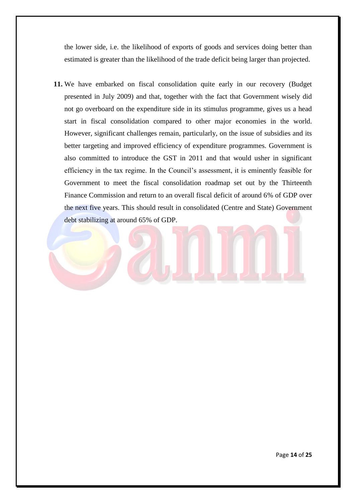the lower side, i.e. the likelihood of exports of goods and services doing better than estimated is greater than the likelihood of the trade deficit being larger than projected.

**11.** We have embarked on fiscal consolidation quite early in our recovery (Budget presented in July 2009) and that, together with the fact that Government wisely did not go overboard on the expenditure side in its stimulus programme, gives us a head start in fiscal consolidation compared to other major economies in the world. However, significant challenges remain, particularly, on the issue of subsidies and its better targeting and improved efficiency of expenditure programmes. Government is also committed to introduce the GST in 2011 and that would usher in significant efficiency in the tax regime. In the Council"s assessment, it is eminently feasible for Government to meet the fiscal consolidation roadmap set out by the Thirteenth Finance Commission and return to an overall fiscal deficit of around 6% of GDP over the next five years. This should result in consolidated (Centre and State) Government debt stabilizing at around 65% of GDP.

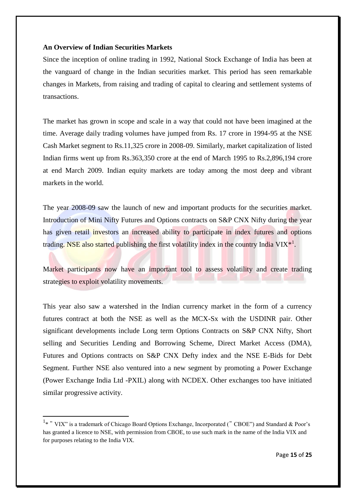### **An Overview of Indian Securities Markets**

Since the inception of online trading in 1992, National Stock Exchange of India has been at the vanguard of change in the Indian securities market. This period has seen remarkable changes in Markets, from raising and trading of capital to clearing and settlement systems of transactions.

The market has grown in scope and scale in a way that could not have been imagined at the time. Average daily trading volumes have jumped from Rs. 17 crore in 1994-95 at the NSE Cash Market segment to Rs.11,325 crore in 2008-09. Similarly, market capitalization of listed Indian firms went up from Rs.363,350 crore at the end of March 1995 to Rs.2,896,194 crore at end March 2009. Indian equity markets are today among the most deep and vibrant markets in the world.

The year 2008-09 saw the launch of new and important products for the securities market. Introduction of Mini Nifty Futures and Options contracts on S&P CNX Nifty during the year has given retail investors an increased ability to participate in index futures and options trading. NSE also started publishing the first volatility index in the country India VIX<sup>\*1</sup>.

Market participants now have an important tool to assess volatility and create trading strategies to exploit volatility movements.

This year also saw a watershed in the Indian currency market in the form of a currency futures contract at both the NSE as well as the MCX-Sx with the USDINR pair. Other significant developments include Long term Options Contracts on S&P CNX Nifty, Short selling and Securities Lending and Borrowing Scheme, Direct Market Access (DMA), Futures and Options contracts on S&P CNX Defty index and the NSE E-Bids for Debt Segment. Further NSE also ventured into a new segment by promoting a Power Exchange (Power Exchange India Ltd -PXIL) along with NCDEX. Other exchanges too have initiated similar progressive activity.

**.** 

<sup>&</sup>lt;sup>1</sup>\* " VIX" is a trademark of Chicago Board Options Exchange, Incorporated (" CBOE") and Standard & Poor's has granted a licence to NSE, with permission from CBOE, to use such mark in the name of the India VIX and for purposes relating to the India VIX.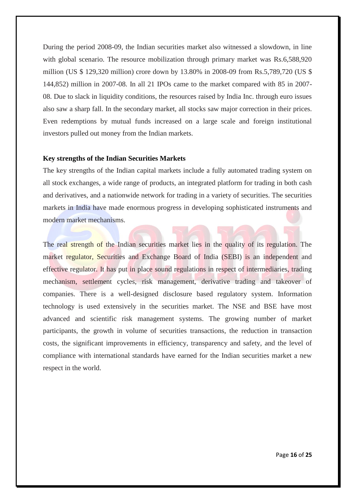During the period 2008-09, the Indian securities market also witnessed a slowdown, in line with global scenario. The resource mobilization through primary market was Rs.6,588,920 million (US \$ 129,320 million) crore down by 13.80% in 2008-09 from Rs.5,789,720 (US \$ 144,852) million in 2007-08. In all 21 IPOs came to the market compared with 85 in 2007- 08. Due to slack in liquidity conditions, the resources raised by India Inc. through euro issues also saw a sharp fall. In the secondary market, all stocks saw major correction in their prices. Even redemptions by mutual funds increased on a large scale and foreign institutional investors pulled out money from the Indian markets.

### **Key strengths of the Indian Securities Markets**

The key strengths of the Indian capital markets include a fully automated trading system on all stock exchanges, a wide range of products, an integrated platform for trading in both cash and derivatives, and a nationwide network for trading in a variety of securities. The securities markets in India have made enormous progress in developing sophisticated instruments and modern market mechanisms.

The real strength of the Indian securities market lies in the quality of its regulation. The market regulator, Securities and Exchange Board of India (SEBI) is an independent and effective regulator. It has put in place sound regulations in respect of intermediaries, trading mechanism, settlement cycles, risk management, derivative trading and takeover of companies. There is a well-designed disclosure based regulatory system. Information technology is used extensively in the securities market. The NSE and BSE have most advanced and scientific risk management systems. The growing number of market participants, the growth in volume of securities transactions, the reduction in transaction costs, the significant improvements in efficiency, transparency and safety, and the level of compliance with international standards have earned for the Indian securities market a new respect in the world.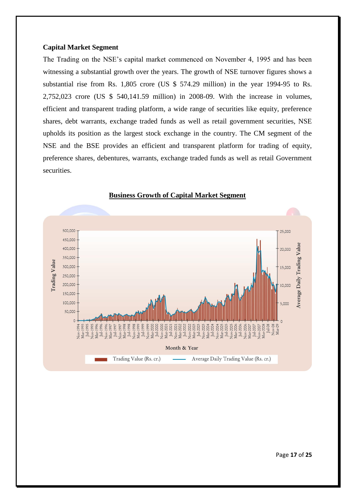### **Capital Market Segment**

The Trading on the NSE"s capital market commenced on November 4, 1995 and has been witnessing a substantial growth over the years. The growth of NSE turnover figures shows a substantial rise from Rs. 1,805 crore (US \$ 574.29 million) in the year 1994-95 to Rs. 2,752,023 crore (US \$ 540,141.59 million) in 2008-09. With the increase in volumes, efficient and transparent trading platform, a wide range of securities like equity, preference shares, debt warrants, exchange traded funds as well as retail government securities, NSE upholds its position as the largest stock exchange in the country. The CM segment of the NSE and the BSE provides an efficient and transparent platform for trading of equity, preference shares, debentures, warrants, exchange traded funds as well as retail Government securities.



### **Business Growth of Capital Market Segment**

Page **17** of **25**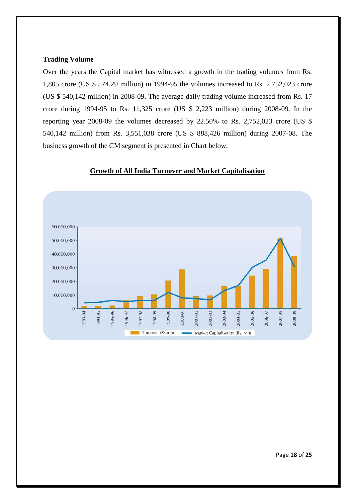### **Trading Volume**

Over the years the Capital market has witnessed a growth in the trading volumes from Rs. 1,805 crore (US \$ 574.29 million) in 1994-95 the volumes increased to Rs. 2,752,023 crore (US \$ 540,142 million) in 2008-09. The average daily trading volume increased from Rs. 17 crore during 1994-95 to Rs. 11,325 crore (US \$ 2,223 million) during 2008-09. In the reporting year 2008-09 the volumes decreased by 22.50% to Rs. 2,752,023 crore (US \$ 540,142 million) from Rs. 3,551,038 crore (US \$ 888,426 million) during 2007-08. The business growth of the CM segment is presented in Chart below.



### **Growth of All India Turnover and Market Capitalisation**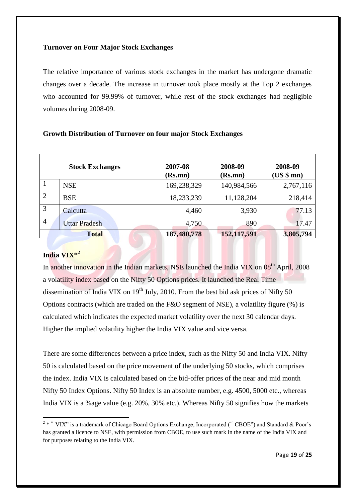### **Turnover on Four Major Stock Exchanges**

The relative importance of various stock exchanges in the market has undergone dramatic changes over a decade. The increase in turnover took place mostly at the Top 2 exchanges who accounted for 99.99% of turnover, while rest of the stock exchanges had negligible volumes during 2008-09.

|                | <b>Stock Exchanges</b> | 2007-08<br>(Rs.mn) | 2008-09<br>(Rs.mn) | 2008-09<br>(US \$ mm) |
|----------------|------------------------|--------------------|--------------------|-----------------------|
|                | <b>NSE</b>             | 169,238,329        | 140,984,566        | 2,767,116             |
| $\overline{2}$ | <b>BSE</b>             | 18,233,239         | 11,128,204         | 218,414               |
| 3              | Calcutta               | 4,460              | 3,930              | 77.13                 |
| $\overline{4}$ | <b>Uttar Pradesh</b>   | 4,750              | 890                | 17.47                 |
|                | <b>Total</b>           | 187,480,778        | 152,117,591        | 3,805,794             |

### **Growth Distribution of Turnover on four major Stock Exchanges**

### **India VIX\*<sup>2</sup>**

**.** 

In another innovation in the Indian markets, NSE launched the India VIX on 08<sup>th</sup> April, 2008 a volatility index based on the Nifty 50 Options prices. It launched the Real Time dissemination of India VIX on  $19<sup>th</sup>$  July, 2010. From the best bid ask prices of Nifty 50 Options contracts (which are traded on the F&O segment of NSE), a volatility figure (%) is calculated which indicates the expected market volatility over the next 30 calendar days. Higher the implied volatility higher the India VIX value and vice versa.

There are some differences between a price index, such as the Nifty 50 and India VIX. Nifty 50 is calculated based on the price movement of the underlying 50 stocks, which comprises the index. India VIX is calculated based on the bid-offer prices of the near and mid month Nifty 50 Index Options. Nifty 50 Index is an absolute number, e.g. 4500, 5000 etc., whereas India VIX is a %age value (e.g. 20%, 30% etc.). Whereas Nifty 50 signifies how the markets

 $2 * "VIX"$  is a trademark of Chicago Board Options Exchange, Incorporated ("CBOE") and Standard & Poor's has granted a licence to NSE, with permission from CBOE, to use such mark in the name of the India VIX and for purposes relating to the India VIX.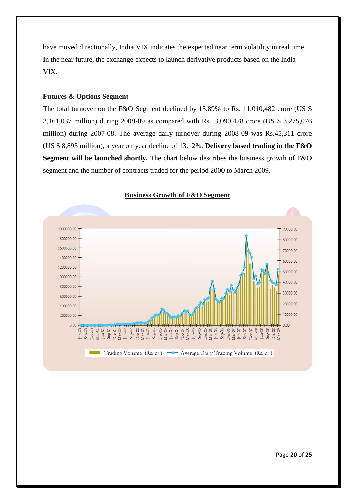have moved directionally, India VIX indicates the expected near term volatility in real time. In the near future, the exchange expects to launch derivative products based on the India VIX.

### **Futures & Options Segment**

The total turnover on the F&O Segment declined by 15.89% to Rs. 11,010,482 crore (US \$ 2,161,037 million) during 2008-09 as compared with Rs.13,090,478 crore (US \$ 3,275,076 million) during 2007-08. The average daily turnover during 2008-09 was Rs.45,311 crore (US \$ 8,893 million), a year on year decline of 13.12%. **Delivery based trading in the F&O Segment will be launched shortly.** The chart below describes the business growth of F&O segment and the number of contracts traded for the period 2000 to March 2009.



#### **Business Growth of F&O Segment**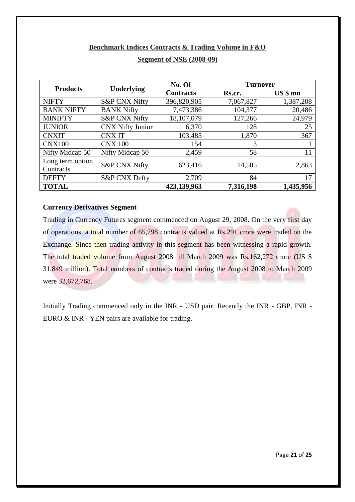### **Benchmark Indices Contracts & Trading Volume in F&O**

| <b>Products</b>   |                          |                  | <b>Turnover</b> |           |  |
|-------------------|--------------------------|------------------|-----------------|-----------|--|
|                   | <b>Underlying</b>        | <b>Contracts</b> | Rs.cr.          | $US $$ mn |  |
| <b>NIFTY</b>      | <b>S&amp;P CNX Nifty</b> | 396,820,905      | 7,067,827       | 1,387,208 |  |
| <b>BANK NIFTY</b> | <b>BANK Nifty</b>        | 7,473,386        | 104,377         | 20,486    |  |
| <b>MINIFTY</b>    | <b>S&amp;P CNX Nifty</b> | 18,107,079       | 127,266         | 24,979    |  |
| <b>JUNIOR</b>     | <b>CNX Nifty Junior</b>  | 6,370            | 128             | 25        |  |
| <b>CNXIT</b>      | <b>CNXIT</b>             | 103,485          | 1,870           | 367       |  |
| <b>CNX100</b>     | <b>CNX 100</b>           | 154              | 3               |           |  |
| Nifty Midcap 50   | Nifty Midcap 50          | 2,459            | 58              | 11        |  |
| Long term option  | <b>S&amp;P CNX Nifty</b> | 623,416          | 14,585          |           |  |
| Contracts         |                          |                  |                 | 2,863     |  |
| <b>DEFTY</b>      | <b>S&amp;P CNX Defty</b> | 2,709            | 84              | 17        |  |
| <b>TOTAL</b>      |                          | 423,139,963      | 7,316,198       | 1,435,956 |  |

### **Segment of NSE (2008-09)**

### **Currency Derivatives Segment**

Trading in Currency Futures segment commenced on August 29, 2008. On the very first day of operations, a total number of 65,798 contracts valued at Rs.291 crore were traded on the Exchange. Since then trading activity in this segment has been witnessing a rapid growth. The total traded volume from August 2008 till March 2009 was Rs.162,272 crore (US \$ 31,849 million). Total numbers of contracts traded during the August 2008 to March 2009 were 32,672,768.

Initially Trading commenced only in the INR - USD pair. Recently the INR - GBP, INR - EURO & INR - YEN pairs are available for trading.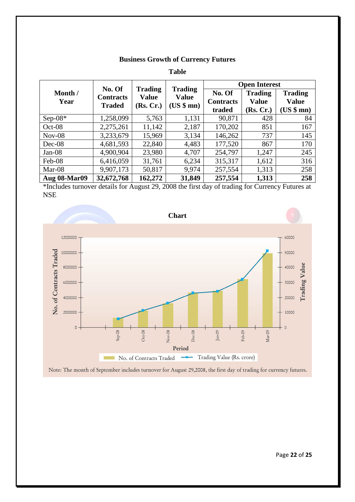### **Business Growth of Currency Futures**

**Table**

|                     | No. Of<br><b>Contracts</b><br><b>Traded</b> | <b>Trading</b><br><b>Value</b><br>(Rs, Cr.) | <b>Trading</b><br><b>Value</b> | <b>Open Interest</b> |                |                |  |
|---------------------|---------------------------------------------|---------------------------------------------|--------------------------------|----------------------|----------------|----------------|--|
| Month /<br>Year     |                                             |                                             |                                | No. Of               | <b>Trading</b> | <b>Trading</b> |  |
|                     |                                             |                                             | (US \$mm)                      | <b>Contracts</b>     | <b>Value</b>   | <b>Value</b>   |  |
|                     |                                             |                                             |                                | traded               | (Rs. Cr.)      | (US \$mm)      |  |
| Sep-08 $*$          | 1,258,099                                   | 5,763                                       | 1,131                          | 90,871               | 428            | 84             |  |
| $Oct-08$            | 2,275,261                                   | 11,142                                      | 2,187                          | 170,202              | 851            | 167            |  |
| $Nov-08$            | 3,233,679                                   | 15,969                                      | 3,134                          | 146,262              | 737            | 145            |  |
| $Dec-08$            | 4,681,593                                   | 22,840                                      | 4,483                          | 177,520              | 867            | 170            |  |
| $Jan-08$            | 4,900,904                                   | 23,980                                      | 4,707                          | 254,797              | 1,247          | 245            |  |
| Feb-08              | 6,416,059                                   | 31,761                                      | 6,234                          | 315,317              | 1,612          | 316            |  |
| Mar-08              | 9,907,173                                   | 50,817                                      | 9,974                          | 257,554              | 1,313          | 258            |  |
| <b>Aug 08-Mar09</b> | 32,672,768                                  | 162,272                                     | 31,849                         | 257,554              | 1,313          | 258            |  |

\*Includes turnover details for August 29, 2008 the first day of trading for Currency Futures at NSE



Note: The month of September includes turnover for August 29,2008, the first day of trading for currency futures.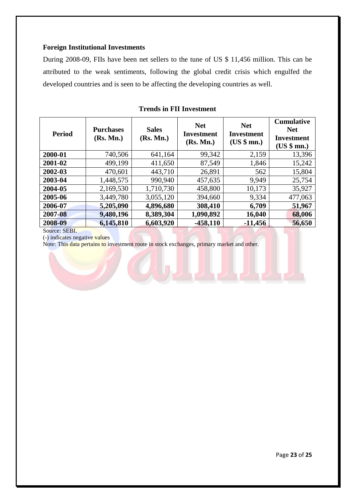### **Foreign Institutional Investments**

During 2008-09, FIIs have been net sellers to the tune of US \$ 11,456 million. This can be attributed to the weak sentiments, following the global credit crisis which engulfed the developed countries and is seen to be affecting the developing countries as well.

| <b>Period</b> | <b>Purchases</b><br>(Rs. Mn.) | <b>Sales</b><br>(Rs. Mn.) | <b>Net</b><br>Investment<br>(Rs. Mn.) | <b>Net</b><br>Investment<br>(US \$ mm.) | <b>Cumulative</b><br><b>Net</b><br>Investment<br>(US \$ mm.) |
|---------------|-------------------------------|---------------------------|---------------------------------------|-----------------------------------------|--------------------------------------------------------------|
| 2000-01       | 740,506                       | 641,164                   | 99,342                                | 2,159                                   | 13,396                                                       |
| 2001-02       | 499,199                       | 411,650                   | 87,549                                | 1,846                                   | 15,242                                                       |
| 2002-03       | 470,601                       | 443,710                   | 26,891                                | 562                                     | 15,804                                                       |
| 2003-04       | 1,448,575                     | 990,940                   | 457,635                               | 9,949                                   | 25,754                                                       |
| 2004-05       | 2,169,530                     | 1,710,730                 | 458,800                               | 10,173                                  | 35,927                                                       |
| 2005-06       | 3,449,780                     | 3,055,120                 | 394,660                               | 9,334                                   | 477,063                                                      |
| 2006-07       | 5,205,090                     | 4,896,680                 | 308,410                               | 6,709                                   | 51,967                                                       |
| 2007-08       | 9,480,196                     | 8,389,304                 | 1,090,892                             | 16,040                                  | 68,006                                                       |
| 2008-09       | 6,145,810                     | 6,603,920                 | $-458,110$                            | $-11,456$                               | 56,650                                                       |

### **Trends in FII Investment**

Source: SEBI.

(-) indicates negative values Note: This data pertains to investment route in stock exchanges, primary market and other.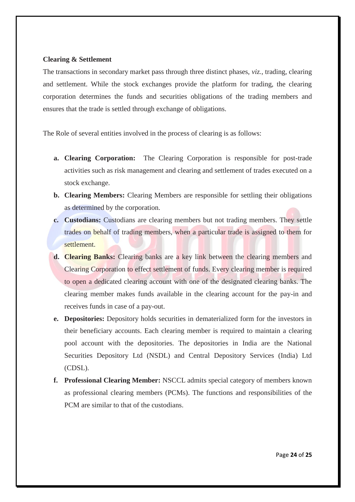#### **Clearing & Settlement**

The transactions in secondary market pass through three distinct phases, *viz.*, trading, clearing and settlement. While the stock exchanges provide the platform for trading, the clearing corporation determines the funds and securities obligations of the trading members and ensures that the trade is settled through exchange of obligations.

The Role of several entities involved in the process of clearing is as follows:

- **a. Clearing Corporation:** The Clearing Corporation is responsible for post-trade activities such as risk management and clearing and settlement of trades executed on a stock exchange.
- **b. Clearing Members:** Clearing Members are responsible for settling their obligations as determined by the corporation.
- **c. Custodians:** Custodians are clearing members but not trading members. They settle trades on behalf of trading members, when a particular trade is assigned to them for settlement.
- **d. Clearing Banks:** Clearing banks are a key link between the clearing members and Clearing Corporation to effect settlement of funds. Every clearing member is required to open a dedicated clearing account with one of the designated clearing banks. The clearing member makes funds available in the clearing account for the pay-in and receives funds in case of a pay-out.
- **e. Depositories:** Depository holds securities in dematerialized form for the investors in their beneficiary accounts. Each clearing member is required to maintain a clearing pool account with the depositories. The depositories in India are the National Securities Depository Ltd (NSDL) and Central Depository Services (India) Ltd (CDSL).
- **f. Professional Clearing Member:** NSCCL admits special category of members known as professional clearing members (PCMs). The functions and responsibilities of the PCM are similar to that of the custodians.